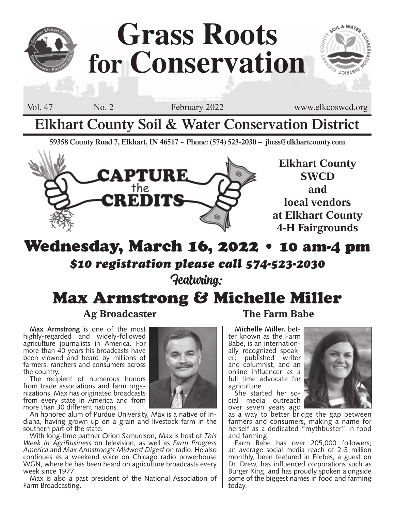

# **Grass Roots for Conservation**

SOIL & WATER **LOIRTEIO** 

Vol. 47 No. 2 February 2022 www.elkcoswcd.org

# **Elkhart County Soil & Water Conservation District**

**59358 County Road 7, Elkhart, IN 46517 ~ Phone: (574) 523-2030 – jhess@elkhartcounty.com**



**Elkhart County SWCD and local vendors at Elkhart County 4-H Fairgrounds**

# Wednesday, March 16, 2022 • 10 am-4 pm *\$10 registration please call 574-523-2030* Featuring:

# Max Armstrong & Michelle Miller

## **Ag Broadcaster The Farm Babe**

**Max Armstrong** is one of the most highly-regarded and widely-followed agriculture journalists in America. For more than 40 years his broadcasts have been viewed and heard by millions of farmers, ranchers and consumers across the country.

The recipient of numerous honors<br>from trade associations and farm organizations, Max has originated broadcasts from every state in America and from more than 30 different nations.

An honored alum of Purdue University, Max is a native of Indiana, having grown up on a grain and livestock farm in the southern part of the state.

With long-time partner Orion Samuelson, Max is host of *This Week In AgriBusiness* on television, as well as *Farm Progress America* and *Max Armstrong's Midwest Digest* on radio. He also continues as a weekend voice on Chicago radio powerhouse WGN, where he has been heard on agriculture broadcasts every week since 1977.

Max is also a past president of the National Association of Farm Broadcasting.

**Michelle Miller,** bet-<br>ter known as the Farm<br>Babe, is an internation-Babe, is an internation-<br>ally recognized speak-<br>er; published writer and columnist, and an online influencer as a full time advocate for agriculture.<br>She started her so-

cial media outreach over seven years ago



as a way to better bridge the gap between farmers and consumers, making a name for herself as a dedicated "mythbuster" in food and farming.

Farm Babe has over 205,000 followers; an average social media reach of 2-3 million monthly, been featured in Forbes, a guest on Dr. Drew, has influenced corporations such as Burger King, and has proudly spoken alongside some of the biggest names in food and farming today.

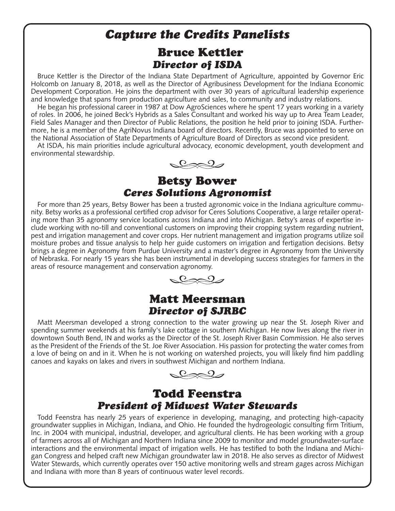# *Capture the Credits Panelists*

### Bruce Kettler *Director of ISDA*

Bruce Kettler is the Director of the Indiana State Department of Agriculture, appointed by Governor Eric Holcomb on January 8, 2018, as well as the Director of Agribusiness Development for the Indiana Economic Development Corporation. He joins the department with over 30 years of agricultural leadership experience and knowledge that spans from production agriculture and sales, to community and industry relations.

He began his professional career in 1987 at Dow AgroSciences where he spent 17 years working in a variety of roles. In 2006, he joined Beck's Hybrids as a Sales Consultant and worked his way up to Area Team Leader, Field Sales Manager and then Director of Public Relations, the position he held prior to joining ISDA. Furthermore, he is a member of the AgriNovus Indiana board of directors. Recently, Bruce was appointed to serve on the National Association of State Departments of Agriculture Board of Directors as second vice president.

At ISDA, his main priorities include agricultural advocacy, economic development, youth development and environmental stewardship.



#### Betsy Bower *Ceres Solutions Agronomist*

For more than 25 years, Betsy Bower has been a trusted agronomic voice in the Indiana agriculture community. Betsy works as a professional certified crop advisor for Ceres Solutions Cooperative, a large retailer operating more than 35 agronomy service locations across Indiana and into Michigan. Betsy's areas of expertise include working with no-till and conventional customers on improving their cropping system regarding nutrient, pest and irrigation management and cover crops. Her nutrient management and irrigation programs utilize soil moisture probes and tissue analysis to help her guide customers on irrigation and fertigation decisions. Betsy brings a degree in Agronomy from Purdue University and a master's degree in Agronomy from the University of Nebraska. For nearly 15 years she has been instrumental in developing success strategies for farmers in the areas of resource management and conservation agronomy.



## Matt Meersman *Director of SJRBC*

Matt Meersman developed a strong connection to the water growing up near the St. Joseph River and spending summer weekends at his family's lake cottage in southern Michigan. He now lives along the river in downtown South Bend, IN and works as the Director of the St. Joseph River Basin Commission. He also serves as the President of the Friends of the St. Joe River Association. His passion for protecting the water comes from a love of being on and in it. When he is not working on watershed projects, you will likely find him paddling canoes and kayaks on lakes and rivers in southwest Michigan and northern Indiana.

 $222$ 

### Todd Feenstra *President of Midwest Water Stewards*

Todd Feenstra has nearly 25 years of experience in developing, managing, and protecting high-capacity groundwater supplies in Michigan, Indiana, and Ohio. He founded the hydrogeologic consulting firm Tritium, Inc. in 2004 with municipal, industrial, developer, and agricultural clients. He has been working with a group of farmers across all of Michigan and Northern Indiana since 2009 to monitor and model groundwater-surface interactions and the environmental impact of irrigation wells. He has testified to both the Indiana and Michigan Congress and helped craft new Michigan groundwater law in 2018. He also serves as director of Midwest Water Stewards, which currently operates over 150 active monitoring wells and stream gages across Michigan and Indiana with more than 8 years of continuous water level records.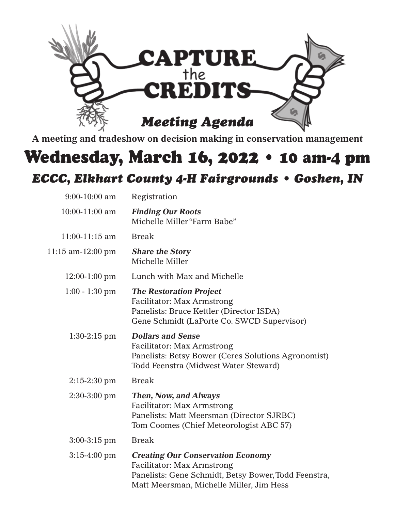

**A meeting and tradeshow on decision making in conservation management**

# Wednesday, March 16, 2022 • 10 am-4 pm

# *ECCC, Elkhart County 4-H Fairgrounds • Goshen, IN*

| $9:00-10:00$ am        | Registration                                                                                                                                                                      |
|------------------------|-----------------------------------------------------------------------------------------------------------------------------------------------------------------------------------|
| $10:00-11:00$ am       | <b>Finding Our Roots</b><br>Michelle Miller "Farm Babe"                                                                                                                           |
| 11:00-11:15 am         | <b>Break</b>                                                                                                                                                                      |
| $11:15$ am- $12:00$ pm | <b>Share the Story</b><br>Michelle Miller                                                                                                                                         |
| $12:00-1:00$ pm        | Lunch with Max and Michelle                                                                                                                                                       |
| $1:00 - 1:30$ pm       | <b>The Restoration Project</b><br><b>Facilitator: Max Armstrong</b><br>Panelists: Bruce Kettler (Director ISDA)<br>Gene Schmidt (LaPorte Co. SWCD Supervisor)                     |
| $1:30-2:15$ pm         | <b>Dollars and Sense</b><br><b>Facilitator: Max Armstrong</b><br>Panelists: Betsy Bower (Ceres Solutions Agronomist)<br>Todd Feenstra (Midwest Water Steward)                     |
| $2:15-2:30$ pm         | <b>Break</b>                                                                                                                                                                      |
| $2:30-3:00$ pm         | <b>Then, Now, and Always</b><br><b>Facilitator: Max Armstrong</b><br>Panelists: Matt Meersman (Director SJRBC)<br>Tom Coomes (Chief Meteorologist ABC 57)                         |
| $3:00-3:15$ pm         | <b>Break</b>                                                                                                                                                                      |
| $3:15-4:00$ pm         | <b>Creating Our Conservation Economy</b><br><b>Facilitator: Max Armstrong</b><br>Panelists: Gene Schmidt, Betsy Bower, Todd Feenstra,<br>Matt Meersman, Michelle Miller, Jim Hess |
|                        |                                                                                                                                                                                   |